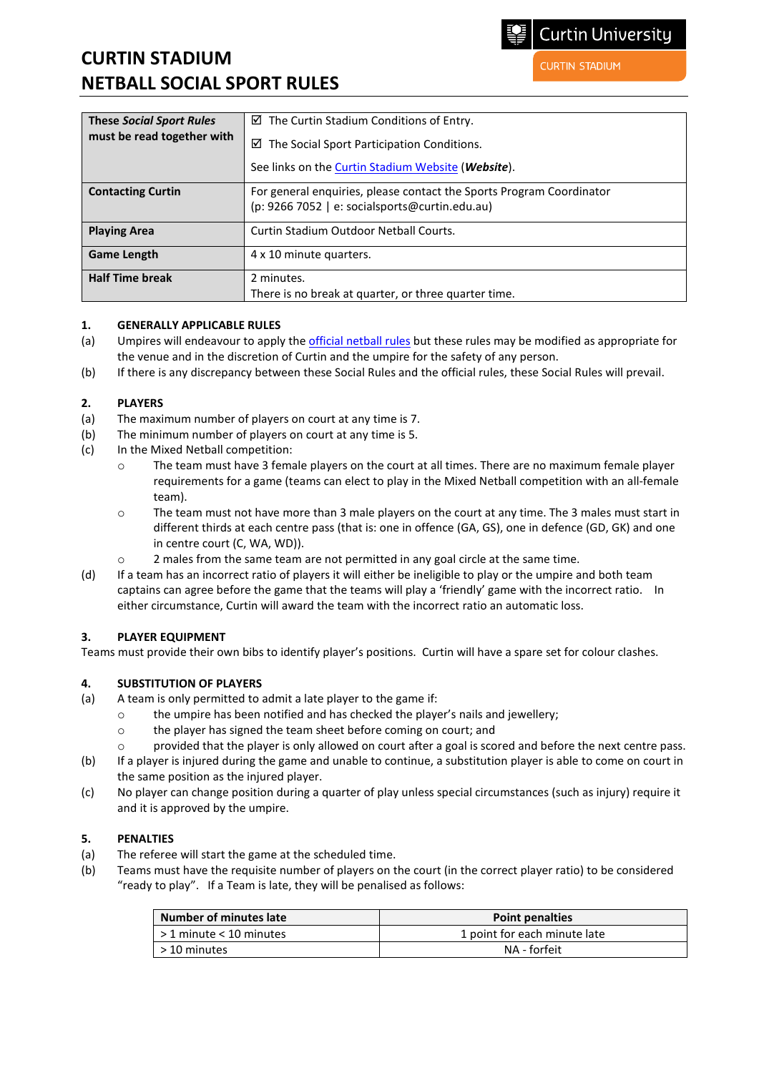# **CURTIN STADIUM NETBALL SOCIAL SPORT RULES**

| <b>These Social Sport Rules</b> | $\boxtimes$ The Curtin Stadium Conditions of Entry.                                                                    |
|---------------------------------|------------------------------------------------------------------------------------------------------------------------|
| must be read together with      | $\boxtimes$ The Social Sport Participation Conditions.                                                                 |
|                                 | See links on the Curtin Stadium Website (Website).                                                                     |
| <b>Contacting Curtin</b>        | For general enquiries, please contact the Sports Program Coordinator<br>(p: 9266 7052   e: socialsports@curtin.edu.au) |
| <b>Playing Area</b>             | Curtin Stadium Outdoor Netball Courts.                                                                                 |
| <b>Game Length</b>              | 4 x 10 minute quarters.                                                                                                |
| <b>Half Time break</b>          | 2 minutes.                                                                                                             |
|                                 | There is no break at quarter, or three quarter time.                                                                   |

#### **1. GENERALLY APPLICABLE RULES**

- (a) Umpires will endeavour to apply th[e official netball rules](http://www.netball.com.au/rules-netball) but these rules may be modified as appropriate for the venue and in the discretion of Curtin and the umpire for the safety of any person.
- (b) If there is any discrepancy between these Social Rules and the official rules, these Social Rules will prevail.

#### **2. PLAYERS**

- (a) The maximum number of players on court at any time is 7.
- (b) The minimum number of players on court at any time is 5.
- (c) In the Mixed Netball competition:
	- o The team must have 3 female players on the court at all times. There are no maximum female player requirements for a game (teams can elect to play in the Mixed Netball competition with an all-female team).
	- o The team must not have more than 3 male players on the court at any time. The 3 males must start in different thirds at each centre pass (that is: one in offence (GA, GS), one in defence (GD, GK) and one in centre court (C, WA, WD)).
	- $\circ$  2 males from the same team are not permitted in any goal circle at the same time.
- (d) If a team has an incorrect ratio of players it will either be ineligible to play or the umpire and both team captains can agree before the game that the teams will play a 'friendly' game with the incorrect ratio. In either circumstance, Curtin will award the team with the incorrect ratio an automatic loss.

# **3. PLAYER EQUIPMENT**

Teams must provide their own bibs to identify player's positions. Curtin will have a spare set for colour clashes.

# **4. SUBSTITUTION OF PLAYERS**

- (a) A team is only permitted to admit a late player to the game if:
	- $\circ$  the umpire has been notified and has checked the player's nails and jewellery;<br> $\circ$  the player has signed the team sheet before coming on court: and
	- the player has signed the team sheet before coming on court; and
	- o provided that the player is only allowed on court after a goal is scored and before the next centre pass.
- (b) If a player is injured during the game and unable to continue, a substitution player is able to come on court in the same position as the injured player.
- (c) No player can change position during a quarter of play unless special circumstances (such as injury) require it and it is approved by the umpire.

#### **5. PENALTIES**

- (a) The referee will start the game at the scheduled time.
- (b) Teams must have the requisite number of players on the court (in the correct player ratio) to be considered "ready to play". If a Team is late, they will be penalised as follows:

| Number of minutes late    | <b>Point penalties</b>       |
|---------------------------|------------------------------|
| l > 1 minute < 10 minutes | 1 point for each minute late |
| l > 10 minutes            | NA - forfeit                 |

**Curtin University** 

**CURTIN STADIUM**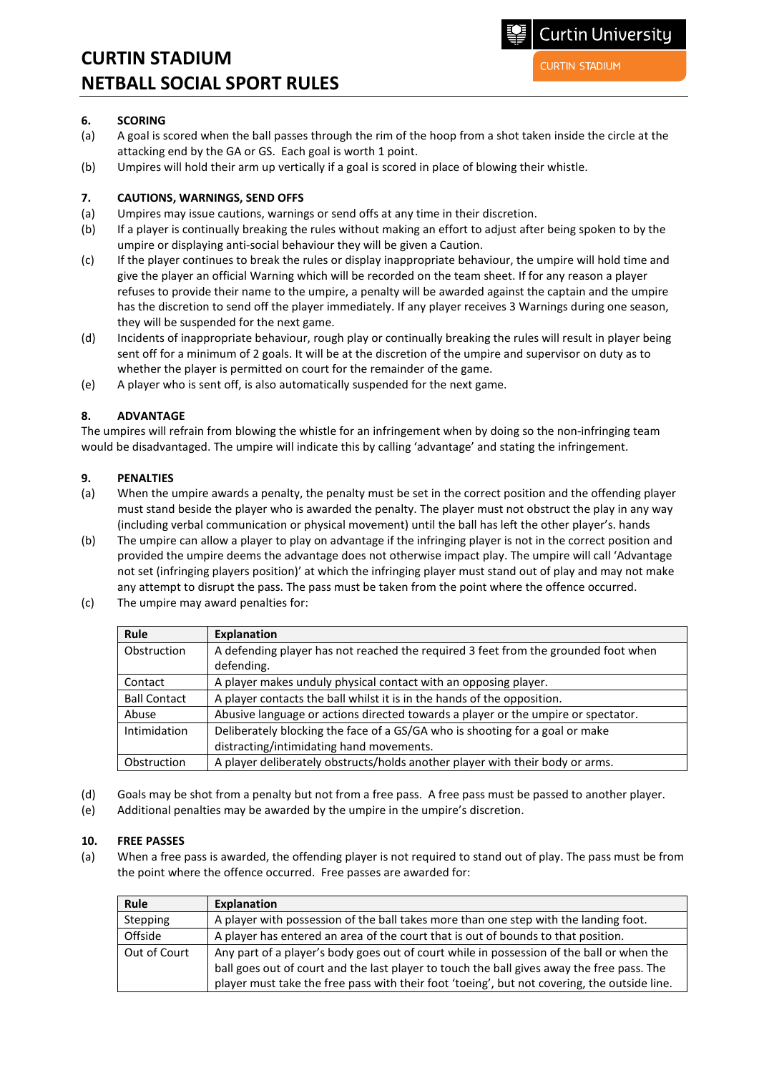**CURTIN STADIUM** 

Curtin University

# **6. SCORING**

- (a) A goal is scored when the ball passes through the rim of the hoop from a shot taken inside the circle at the attacking end by the GA or GS. Each goal is worth 1 point.
- (b) Umpires will hold their arm up vertically if a goal is scored in place of blowing their whistle.

#### **7. CAUTIONS, WARNINGS, SEND OFFS**

- (a) Umpires may issue cautions, warnings or send offs at any time in their discretion.
- (b) If a player is continually breaking the rules without making an effort to adjust after being spoken to by the umpire or displaying anti-social behaviour they will be given a Caution.
- (c) If the player continues to break the rules or display inappropriate behaviour, the umpire will hold time and give the player an official Warning which will be recorded on the team sheet. If for any reason a player refuses to provide their name to the umpire, a penalty will be awarded against the captain and the umpire has the discretion to send off the player immediately. If any player receives 3 Warnings during one season, they will be suspended for the next game.
- (d) Incidents of inappropriate behaviour, rough play or continually breaking the rules will result in player being sent off for a minimum of 2 goals. It will be at the discretion of the umpire and supervisor on duty as to whether the player is permitted on court for the remainder of the game.
- (e) A player who is sent off, is also automatically suspended for the next game.

#### **8. ADVANTAGE**

The umpires will refrain from blowing the whistle for an infringement when by doing so the non-infringing team would be disadvantaged. The umpire will indicate this by calling 'advantage' and stating the infringement.

#### **9. PENALTIES**

- (a) When the umpire awards a penalty, the penalty must be set in the correct position and the offending player must stand beside the player who is awarded the penalty. The player must not obstruct the play in any way (including verbal communication or physical movement) until the ball has left the other player's. hands
- (b) The umpire can allow a player to play on advantage if the infringing player is not in the correct position and provided the umpire deems the advantage does not otherwise impact play. The umpire will call 'Advantage not set (infringing players position)' at which the infringing player must stand out of play and may not make any attempt to disrupt the pass. The pass must be taken from the point where the offence occurred.
- (c) The umpire may award penalties for:

| <b>Rule</b>         | Explanation                                                                        |
|---------------------|------------------------------------------------------------------------------------|
| Obstruction         | A defending player has not reached the required 3 feet from the grounded foot when |
|                     | defending.                                                                         |
| Contact             | A player makes unduly physical contact with an opposing player.                    |
| <b>Ball Contact</b> | A player contacts the ball whilst it is in the hands of the opposition.            |
| Abuse               | Abusive language or actions directed towards a player or the umpire or spectator.  |
| Intimidation        | Deliberately blocking the face of a GS/GA who is shooting for a goal or make       |
|                     | distracting/intimidating hand movements.                                           |
| Obstruction         | A player deliberately obstructs/holds another player with their body or arms.      |

- (d) Goals may be shot from a penalty but not from a free pass. A free pass must be passed to another player.
- (e) Additional penalties may be awarded by the umpire in the umpire's discretion.

#### **10. FREE PASSES**

(a) When a free pass is awarded, the offending player is not required to stand out of play. The pass must be from the point where the offence occurred. Free passes are awarded for:

| Rule         | Explanation                                                                                  |
|--------------|----------------------------------------------------------------------------------------------|
| Stepping     | A player with possession of the ball takes more than one step with the landing foot.         |
| Offside      | A player has entered an area of the court that is out of bounds to that position.            |
| Out of Court | Any part of a player's body goes out of court while in possession of the ball or when the    |
|              | ball goes out of court and the last player to touch the ball gives away the free pass. The   |
|              | player must take the free pass with their foot 'toeing', but not covering, the outside line. |